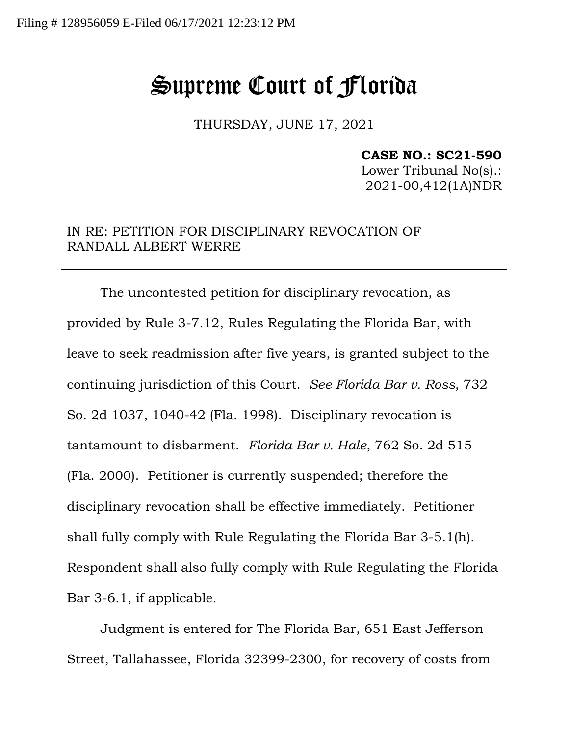## Supreme Court of Florida

THURSDAY, JUNE 17, 2021

## **CASE NO.: SC21-590**

Lower Tribunal No(s).: 2021-00,412(1A)NDR

## IN RE: PETITION FOR DISCIPLINARY REVOCATION OF RANDALL ALBERT WERRE

The uncontested petition for disciplinary revocation, as provided by Rule 3-7.12, Rules Regulating the Florida Bar, with leave to seek readmission after five years, is granted subject to the continuing jurisdiction of this Court. *See Florida Bar v. Ross*, 732 So. 2d 1037, 1040-42 (Fla. 1998). Disciplinary revocation is tantamount to disbarment. *Florida Bar v. Hale*, 762 So. 2d 515 (Fla. 2000). Petitioner is currently suspended; therefore the disciplinary revocation shall be effective immediately. Petitioner shall fully comply with Rule Regulating the Florida Bar 3-5.1(h). Respondent shall also fully comply with Rule Regulating the Florida Bar 3-6.1, if applicable.

Judgment is entered for The Florida Bar, 651 East Jefferson Street, Tallahassee, Florida 32399-2300, for recovery of costs from